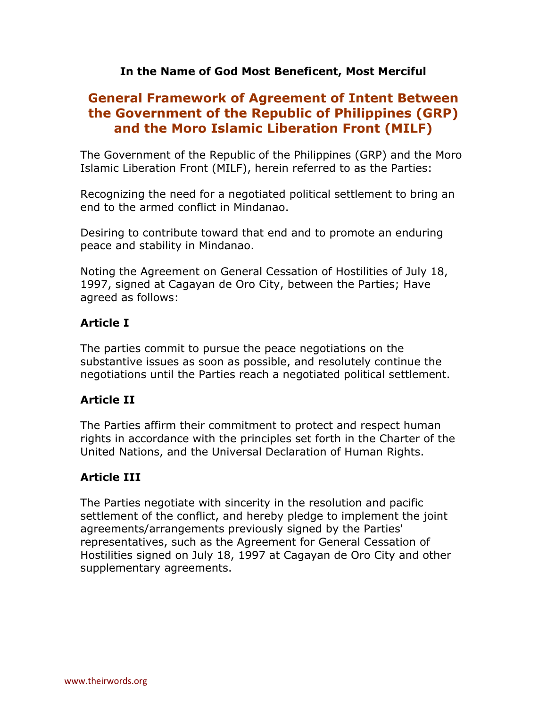# **In the Name of God Most Beneficent, Most Merciful**

# **General Framework of Agreement of Intent Between the Government of the Republic of Philippines (GRP) and the Moro Islamic Liberation Front (MILF)**

The Government of the Republic of the Philippines (GRP) and the Moro Islamic Liberation Front (MILF), herein referred to as the Parties:

Recognizing the need for a negotiated political settlement to bring an end to the armed conflict in Mindanao.

Desiring to contribute toward that end and to promote an enduring peace and stability in Mindanao.

Noting the Agreement on General Cessation of Hostilities of July 18, 1997, signed at Cagayan de Oro City, between the Parties; Have agreed as follows:

# **Article I**

The parties commit to pursue the peace negotiations on the substantive issues as soon as possible, and resolutely continue the negotiations until the Parties reach a negotiated political settlement.

# **Article II**

The Parties affirm their commitment to protect and respect human rights in accordance with the principles set forth in the Charter of the United Nations, and the Universal Declaration of Human Rights.

# **Article III**

The Parties negotiate with sincerity in the resolution and pacific settlement of the conflict, and hereby pledge to implement the joint agreements/arrangements previously signed by the Parties' representatives, such as the Agreement for General Cessation of Hostilities signed on July 18, 1997 at Cagayan de Oro City and other supplementary agreements.